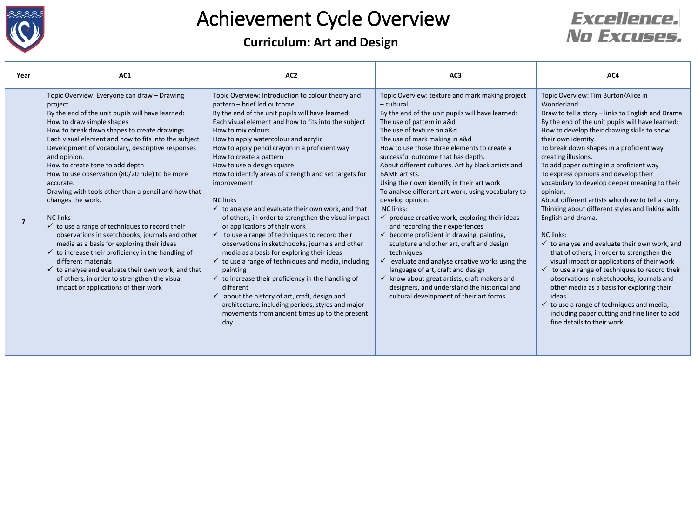

#### **Curriculum: Art and Design**



| Year           | AC1                                                                                                                                                                                                                                                                                                                                                                                                                                                                                                                                                                                                                                                                                                                                                                                                                                                                                                                                | AC <sub>2</sub>                                                                                                                                                                                                                                                                                                                                                                                                                                                                                                                                                                                                                                                                                                                                                                                                                                                                                                                                                                                                                                                                                                               | AC <sub>3</sub>                                                                                                                                                                                                                                                                                                                                                                                                                                                                                                                                                                                                                                                                                                                                                                                                                                                                                                                                                                      | AC4                                                                                                                                                                                                                                                                                                                                                                                                                                                                                                                                                                                                                                                                                                                                                                                                                                                                                                                                                                                                                                                                 |
|----------------|------------------------------------------------------------------------------------------------------------------------------------------------------------------------------------------------------------------------------------------------------------------------------------------------------------------------------------------------------------------------------------------------------------------------------------------------------------------------------------------------------------------------------------------------------------------------------------------------------------------------------------------------------------------------------------------------------------------------------------------------------------------------------------------------------------------------------------------------------------------------------------------------------------------------------------|-------------------------------------------------------------------------------------------------------------------------------------------------------------------------------------------------------------------------------------------------------------------------------------------------------------------------------------------------------------------------------------------------------------------------------------------------------------------------------------------------------------------------------------------------------------------------------------------------------------------------------------------------------------------------------------------------------------------------------------------------------------------------------------------------------------------------------------------------------------------------------------------------------------------------------------------------------------------------------------------------------------------------------------------------------------------------------------------------------------------------------|--------------------------------------------------------------------------------------------------------------------------------------------------------------------------------------------------------------------------------------------------------------------------------------------------------------------------------------------------------------------------------------------------------------------------------------------------------------------------------------------------------------------------------------------------------------------------------------------------------------------------------------------------------------------------------------------------------------------------------------------------------------------------------------------------------------------------------------------------------------------------------------------------------------------------------------------------------------------------------------|---------------------------------------------------------------------------------------------------------------------------------------------------------------------------------------------------------------------------------------------------------------------------------------------------------------------------------------------------------------------------------------------------------------------------------------------------------------------------------------------------------------------------------------------------------------------------------------------------------------------------------------------------------------------------------------------------------------------------------------------------------------------------------------------------------------------------------------------------------------------------------------------------------------------------------------------------------------------------------------------------------------------------------------------------------------------|
| $\overline{7}$ | Topic Overview: Everyone can draw - Drawing<br>project<br>By the end of the unit pupils will have learned:<br>How to draw simple shapes<br>How to break down shapes to create drawings<br>Each visual element and how to fits into the subject<br>Development of vocabulary, descriptive responses<br>and opinion.<br>How to create tone to add depth<br>How to use observation (80/20 rule) to be more<br>accurate.<br>Drawing with tools other than a pencil and how that<br>changes the work.<br><b>NC</b> links<br>$\checkmark$ to use a range of techniques to record their<br>observations in sketchbooks, journals and other<br>media as a basis for exploring their ideas<br>$\checkmark$ to increase their proficiency in the handling of<br>different materials<br>$\checkmark$ to analyse and evaluate their own work, and that<br>of others, in order to strengthen the visual<br>impact or applications of their work | Topic Overview: Introduction to colour theory and<br>pattern - brief led outcome<br>By the end of the unit pupils will have learned:<br>Each visual element and how to fits into the subject<br>How to mix colours<br>How to apply watercolour and acrylic<br>How to apply pencil crayon in a proficient way<br>How to create a pattern<br>How to use a design square<br>How to identify areas of strength and set targets for<br>improvement<br><b>NC links</b><br>$\checkmark$ to analyse and evaluate their own work, and that<br>of others, in order to strengthen the visual impact<br>or applications of their work<br>$\checkmark$ to use a range of techniques to record their<br>observations in sketchbooks, journals and other<br>media as a basis for exploring their ideas<br>$\checkmark$ to use a range of techniques and media, including<br>painting<br>$\checkmark$ to increase their proficiency in the handling of<br>different<br>$\checkmark$ about the history of art, craft, design and<br>architecture, including periods, styles and major<br>movements from ancient times up to the present<br>day | Topic Overview: texture and mark making project<br>- cultural<br>By the end of the unit pupils will have learned:<br>The use of pattern in a&d<br>The use of texture on a&d<br>The use of mark making in a&d<br>How to use those three elements to create a<br>successful outcome that has depth.<br>About different cultures. Art by black artists and<br><b>BAME</b> artists.<br>Using their own identify in their art work<br>To analyse different art work, using vocabulary to<br>develop opinion.<br>NC links:<br>$\checkmark$ produce creative work, exploring their ideas<br>and recording their experiences<br>$\checkmark$ become proficient in drawing, painting,<br>sculpture and other art, craft and design<br>techniques<br>evaluate and analyse creative works using the<br>language of art, craft and design<br>$\checkmark$ know about great artists, craft makers and<br>designers, and understand the historical and<br>cultural development of their art forms. | Topic Overview: Tim Burton/Alice in<br>Wonderland<br>Draw to tell a story - links to English and Drama<br>By the end of the unit pupils will have learned:<br>How to develop their drawing skills to show<br>their own identity.<br>To break down shapes in a proficient way<br>creating illusions.<br>To add paper cutting in a proficient way<br>To express opinions and develop their<br>vocabulary to develop deeper meaning to their<br>opinion.<br>About different artists who draw to tell a story.<br>Thinking about different styles and linking with<br>English and drama.<br>NC links:<br>$\checkmark$ to analyse and evaluate their own work, and<br>that of others, in order to strengthen the<br>visual impact or applications of their work<br>$\checkmark$ to use a range of techniques to record their<br>observations in sketchbooks, journals and<br>other media as a basis for exploring their<br>ideas<br>$\checkmark$ to use a range of techniques and media,<br>including paper cutting and fine liner to add<br>fine details to their work. |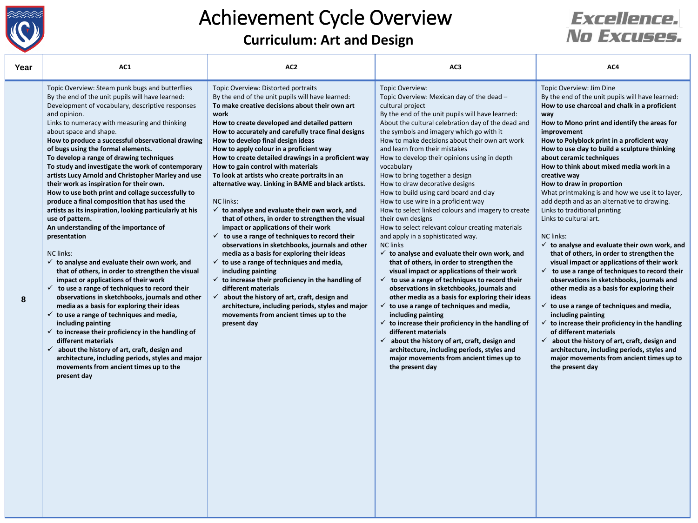

**Curriculum: Art and Design**

#### **Excellence.** No Excuses.

| Year | AC1                                                                                                                                                                                                                                                                                                                                                                                                                                                                                                                                                                                                                                                                                                                                                                                                                                                                                                                                                                                                                                                                                                                                                                                                                                                                                                                                                                                                                                                                                      | AC <sub>2</sub>                                                                                                                                                                                                                                                                                                                                                                                                                                                                                                                                                                                                                                                                                                                                                                                                                                                                                                                                                                                                                                                                                                                                                                                                                   | AC3                                                                                                                                                                                                                                                                                                                                                                                                                                                                                                                                                                                                                                                                                                                                                                                                                                                                                                                                                                                                                                                                                                                                                                                                                                                                                                                                                                                                           | AC4                                                                                                                                                                                                                                                                                                                                                                                                                                                                                                                                                                                                                                                                                                                                                                                                                                                                                                                                                                                                                                                                                                                                                                                                                                                                                |
|------|------------------------------------------------------------------------------------------------------------------------------------------------------------------------------------------------------------------------------------------------------------------------------------------------------------------------------------------------------------------------------------------------------------------------------------------------------------------------------------------------------------------------------------------------------------------------------------------------------------------------------------------------------------------------------------------------------------------------------------------------------------------------------------------------------------------------------------------------------------------------------------------------------------------------------------------------------------------------------------------------------------------------------------------------------------------------------------------------------------------------------------------------------------------------------------------------------------------------------------------------------------------------------------------------------------------------------------------------------------------------------------------------------------------------------------------------------------------------------------------|-----------------------------------------------------------------------------------------------------------------------------------------------------------------------------------------------------------------------------------------------------------------------------------------------------------------------------------------------------------------------------------------------------------------------------------------------------------------------------------------------------------------------------------------------------------------------------------------------------------------------------------------------------------------------------------------------------------------------------------------------------------------------------------------------------------------------------------------------------------------------------------------------------------------------------------------------------------------------------------------------------------------------------------------------------------------------------------------------------------------------------------------------------------------------------------------------------------------------------------|---------------------------------------------------------------------------------------------------------------------------------------------------------------------------------------------------------------------------------------------------------------------------------------------------------------------------------------------------------------------------------------------------------------------------------------------------------------------------------------------------------------------------------------------------------------------------------------------------------------------------------------------------------------------------------------------------------------------------------------------------------------------------------------------------------------------------------------------------------------------------------------------------------------------------------------------------------------------------------------------------------------------------------------------------------------------------------------------------------------------------------------------------------------------------------------------------------------------------------------------------------------------------------------------------------------------------------------------------------------------------------------------------------------|------------------------------------------------------------------------------------------------------------------------------------------------------------------------------------------------------------------------------------------------------------------------------------------------------------------------------------------------------------------------------------------------------------------------------------------------------------------------------------------------------------------------------------------------------------------------------------------------------------------------------------------------------------------------------------------------------------------------------------------------------------------------------------------------------------------------------------------------------------------------------------------------------------------------------------------------------------------------------------------------------------------------------------------------------------------------------------------------------------------------------------------------------------------------------------------------------------------------------------------------------------------------------------|
| 8    | Topic Overview: Steam punk bugs and butterflies<br>By the end of the unit pupils will have learned:<br>Development of vocabulary, descriptive responses<br>and opinion.<br>Links to numeracy with measuring and thinking<br>about space and shape.<br>How to produce a successful observational drawing<br>of bugs using the formal elements.<br>To develop a range of drawing techniques<br>To study and investigate the work of contemporary<br>artists Lucy Arnold and Christopher Marley and use<br>their work as inspiration for their own.<br>How to use both print and collage successfully to<br>produce a final composition that has used the<br>artists as its inspiration, looking particularly at his<br>use of pattern.<br>An understanding of the importance of<br>presentation<br><b>NC links:</b><br>$\checkmark$ to analyse and evaluate their own work, and<br>that of others, in order to strengthen the visual<br>impact or applications of their work<br>$\checkmark$ to use a range of techniques to record their<br>observations in sketchbooks, journals and other<br>media as a basis for exploring their ideas<br>$\checkmark$ to use a range of techniques and media,<br>including painting<br>$\checkmark$ to increase their proficiency in the handling of<br>different materials<br>$\checkmark$ about the history of art, craft, design and<br>architecture, including periods, styles and major<br>movements from ancient times up to the<br>present day | Topic Overview: Distorted portraits<br>By the end of the unit pupils will have learned:<br>To make creative decisions about their own art<br>work<br>How to create developed and detailed pattern<br>How to accurately and carefully trace final designs<br>How to develop final design ideas<br>How to apply colour in a proficient way<br>How to create detailed drawings in a proficient way<br>How to gain control with materials<br>To look at artists who create portraits in an<br>alternative way. Linking in BAME and black artists.<br>NC links:<br>$\checkmark$ to analyse and evaluate their own work, and<br>that of others, in order to strengthen the visual<br>impact or applications of their work<br>$\checkmark$ to use a range of techniques to record their<br>observations in sketchbooks, journals and other<br>media as a basis for exploring their ideas<br>$\checkmark$ to use a range of techniques and media,<br>including painting<br>$\checkmark$ to increase their proficiency in the handling of<br>different materials<br>$\checkmark$ about the history of art, craft, design and<br>architecture, including periods, styles and major<br>movements from ancient times up to the<br>present day | Topic Overview:<br>Topic Overview: Mexican day of the dead -<br>cultural project<br>By the end of the unit pupils will have learned:<br>About the cultural celebration day of the dead and<br>the symbols and imagery which go with it<br>How to make decisions about their own art work<br>and learn from their mistakes<br>How to develop their opinions using in depth<br>vocabulary<br>How to bring together a design<br>How to draw decorative designs<br>How to build using card board and clay<br>How to use wire in a proficient way<br>How to select linked colours and imagery to create<br>their own designs<br>How to select relevant colour creating materials<br>and apply in a sophisticated way.<br><b>NC links</b><br>$\checkmark$ to analyse and evaluate their own work, and<br>that of others, in order to strengthen the<br>visual impact or applications of their work<br>to use a range of techniques to record their<br>$\checkmark$<br>observations in sketchbooks, journals and<br>other media as a basis for exploring their ideas<br>$\checkmark$ to use a range of techniques and media,<br>including painting<br>$\checkmark$ to increase their proficiency in the handling of<br>different materials<br>$\checkmark$ about the history of art, craft, design and<br>architecture, including periods, styles and<br>major movements from ancient times up to<br>the present day | Topic Overview: Jim Dine<br>By the end of the unit pupils will have learned:<br>How to use charcoal and chalk in a proficient<br>way<br>How to Mono print and identify the areas for<br>improvement<br>How to Polyblock print in a proficient way<br>How to use clay to build a sculpture thinking<br>about ceramic techniques<br>How to think about mixed media work in a<br>creative way<br>How to draw in proportion<br>What printmaking is and how we use it to layer,<br>add depth and as an alternative to drawing.<br>Links to traditional printing<br>Links to cultural art.<br><b>NC</b> links:<br>$\checkmark$ to analyse and evaluate their own work, and<br>that of others, in order to strengthen the<br>visual impact or applications of their work<br>$\checkmark$ to use a range of techniques to record their<br>observations in sketchbooks, journals and<br>other media as a basis for exploring their<br>ideas<br>$\checkmark$ to use a range of techniques and media,<br>including painting<br>$\checkmark$ to increase their proficiency in the handling<br>of different materials<br>$\checkmark$ about the history of art, craft, design and<br>architecture, including periods, styles and<br>major movements from ancient times up to<br>the present day |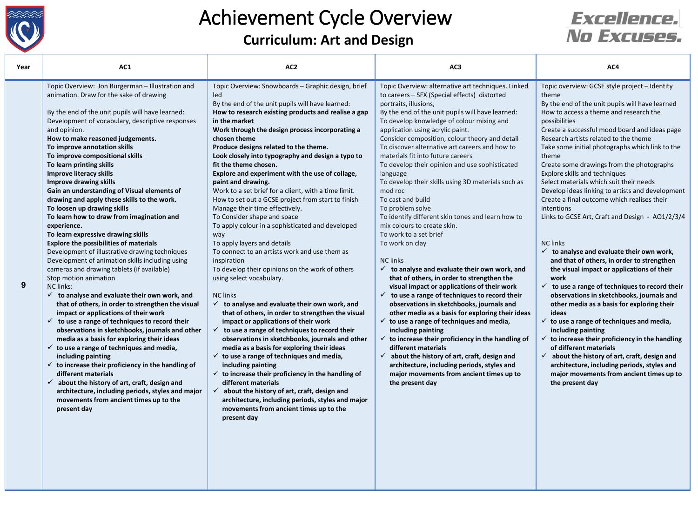

**Curriculum: Art and Design**

#### **Excellence.** No Excuses.

| Year | AC1                                                                                                                                                                                                                                                                                                                                                                                                                                                                                                                                                                                                                                                                                                                                                                                                                                                                                                                                                                                                                                                                                                                                                                                                                                                                                                                                                                                                                                                                                                                                                                                 | AC <sub>2</sub>                                                                                                                                                                                                                                                                                                                                                                                                                                                                                                                                                                                                                                                                                                                                                                                                                                                                                                                                                                                                                                                                                                                                                                                                                                                                                                                                                                                                                                                                                                                                                               | AC3                                                                                                                                                                                                                                                                                                                                                                                                                                                                                                                                                                                                                                                                                                                                                                                                                                                                                                                                                                                                                                                                                                                                                                                                                                                                                                                                                                                                          | AC4                                                                                                                                                                                                                                                                                                                                                                                                                                                                                                                                                                                                                                                                                                                                                                                                                                                                                                                                                                                                                                                                                                                                                                                                                                                                                                                     |
|------|-------------------------------------------------------------------------------------------------------------------------------------------------------------------------------------------------------------------------------------------------------------------------------------------------------------------------------------------------------------------------------------------------------------------------------------------------------------------------------------------------------------------------------------------------------------------------------------------------------------------------------------------------------------------------------------------------------------------------------------------------------------------------------------------------------------------------------------------------------------------------------------------------------------------------------------------------------------------------------------------------------------------------------------------------------------------------------------------------------------------------------------------------------------------------------------------------------------------------------------------------------------------------------------------------------------------------------------------------------------------------------------------------------------------------------------------------------------------------------------------------------------------------------------------------------------------------------------|-------------------------------------------------------------------------------------------------------------------------------------------------------------------------------------------------------------------------------------------------------------------------------------------------------------------------------------------------------------------------------------------------------------------------------------------------------------------------------------------------------------------------------------------------------------------------------------------------------------------------------------------------------------------------------------------------------------------------------------------------------------------------------------------------------------------------------------------------------------------------------------------------------------------------------------------------------------------------------------------------------------------------------------------------------------------------------------------------------------------------------------------------------------------------------------------------------------------------------------------------------------------------------------------------------------------------------------------------------------------------------------------------------------------------------------------------------------------------------------------------------------------------------------------------------------------------------|--------------------------------------------------------------------------------------------------------------------------------------------------------------------------------------------------------------------------------------------------------------------------------------------------------------------------------------------------------------------------------------------------------------------------------------------------------------------------------------------------------------------------------------------------------------------------------------------------------------------------------------------------------------------------------------------------------------------------------------------------------------------------------------------------------------------------------------------------------------------------------------------------------------------------------------------------------------------------------------------------------------------------------------------------------------------------------------------------------------------------------------------------------------------------------------------------------------------------------------------------------------------------------------------------------------------------------------------------------------------------------------------------------------|-------------------------------------------------------------------------------------------------------------------------------------------------------------------------------------------------------------------------------------------------------------------------------------------------------------------------------------------------------------------------------------------------------------------------------------------------------------------------------------------------------------------------------------------------------------------------------------------------------------------------------------------------------------------------------------------------------------------------------------------------------------------------------------------------------------------------------------------------------------------------------------------------------------------------------------------------------------------------------------------------------------------------------------------------------------------------------------------------------------------------------------------------------------------------------------------------------------------------------------------------------------------------------------------------------------------------|
| 9    | Topic Overview: Jon Burgerman - Illustration and<br>animation. Draw for the sake of drawing<br>By the end of the unit pupils will have learned:<br>Development of vocabulary, descriptive responses<br>and opinion.<br>How to make reasoned judgements.<br>To improve annotation skills<br>To improve compositional skills<br>To learn printing skills<br><b>Improve literacy skills</b><br><b>Improve drawing skills</b><br>Gain an understanding of Visual elements of<br>drawing and apply these skills to the work.<br>To loosen up drawing skills<br>To learn how to draw from imagination and<br>experience.<br>To learn expressive drawing skills<br><b>Explore the possibilities of materials</b><br>Development of illustrative drawing techniques<br>Development of animation skills including using<br>cameras and drawing tablets (if available)<br>Stop motion animation<br><b>NC links:</b><br>to analyse and evaluate their own work, and<br>$\checkmark$<br>that of others, in order to strengthen the visual<br>impact or applications of their work<br>$\checkmark$ to use a range of techniques to record their<br>observations in sketchbooks, journals and other<br>media as a basis for exploring their ideas<br>$\checkmark$ to use a range of techniques and media,<br>including painting<br>$\checkmark$ to increase their proficiency in the handling of<br>different materials<br>$\checkmark$ about the history of art, craft, design and<br>architecture, including periods, styles and major<br>movements from ancient times up to the<br>present day | Topic Overview: Snowboards - Graphic design, brief<br>led<br>By the end of the unit pupils will have learned:<br>How to research existing products and realise a gap<br>in the market<br>Work through the design process incorporating a<br>chosen theme<br>Produce designs related to the theme.<br>Look closely into typography and design a typo to<br>fit the theme chosen.<br>Explore and experiment with the use of collage,<br>paint and drawing.<br>Work to a set brief for a client, with a time limit.<br>How to set out a GCSE project from start to finish<br>Manage their time effectively.<br>To Consider shape and space<br>To apply colour in a sophisticated and developed<br>way<br>To apply layers and details<br>To connect to an artists work and use them as<br>inspiration<br>To develop their opinions on the work of others<br>using select vocabulary.<br><b>NC links</b><br>$\checkmark$ to analyse and evaluate their own work, and<br>that of others, in order to strengthen the visual<br>impact or applications of their work<br>$\checkmark$ to use a range of techniques to record their<br>observations in sketchbooks, journals and other<br>media as a basis for exploring their ideas<br>$\checkmark$ to use a range of techniques and media,<br>including painting<br>$\checkmark$ to increase their proficiency in the handling of<br>different materials<br>$\checkmark$<br>about the history of art, craft, design and<br>architecture, including periods, styles and major<br>movements from ancient times up to the<br>present day | Topic Overview: alternative art techniques. Linked<br>to careers - SFX (Special effects) distorted<br>portraits, illusions,<br>By the end of the unit pupils will have learned:<br>To develop knowledge of colour mixing and<br>application using acrylic paint.<br>Consider composition, colour theory and detail<br>To discover alternative art careers and how to<br>materials fit into future careers<br>To develop their opinion and use sophisticated<br>language<br>To develop their skills using 3D materials such as<br>mod roc<br>To cast and build<br>To problem solve<br>To identify different skin tones and learn how to<br>mix colours to create skin.<br>To work to a set brief<br>To work on clay<br><b>NC</b> links<br>$\checkmark$ to analyse and evaluate their own work, and<br>that of others, in order to strengthen the<br>visual impact or applications of their work<br>$\checkmark$ to use a range of techniques to record their<br>observations in sketchbooks, journals and<br>other media as a basis for exploring their ideas<br>$\checkmark$ to use a range of techniques and media,<br>including painting<br>$\checkmark$ to increase their proficiency in the handling of<br>different materials<br>$\checkmark$ about the history of art, craft, design and<br>architecture, including periods, styles and<br>major movements from ancient times up to<br>the present day | Topic overview: GCSE style project - Identity<br>theme<br>By the end of the unit pupils will have learned<br>How to access a theme and research the<br>possibilities<br>Create a successful mood board and ideas page<br>Research artists related to the theme<br>Take some initial photographs which link to the<br>theme<br>Create some drawings from the photographs<br>Explore skills and techniques<br>Select materials which suit their needs<br>Develop ideas linking to artists and development<br>Create a final outcome which realises their<br>intentions<br>Links to GCSE Art, Craft and Design - AO1/2/3/4<br><b>NC links</b><br>$\checkmark$ to analyse and evaluate their own work,<br>and that of others, in order to strengthen<br>the visual impact or applications of their<br>work<br>$\checkmark$ to use a range of techniques to record their<br>observations in sketchbooks, journals and<br>other media as a basis for exploring their<br>ideas<br>$\checkmark$ to use a range of techniques and media,<br>including painting<br>$\checkmark$ to increase their proficiency in the handling<br>of different materials<br>$\checkmark$ about the history of art, craft, design and<br>architecture, including periods, styles and<br>major movements from ancient times up to<br>the present day |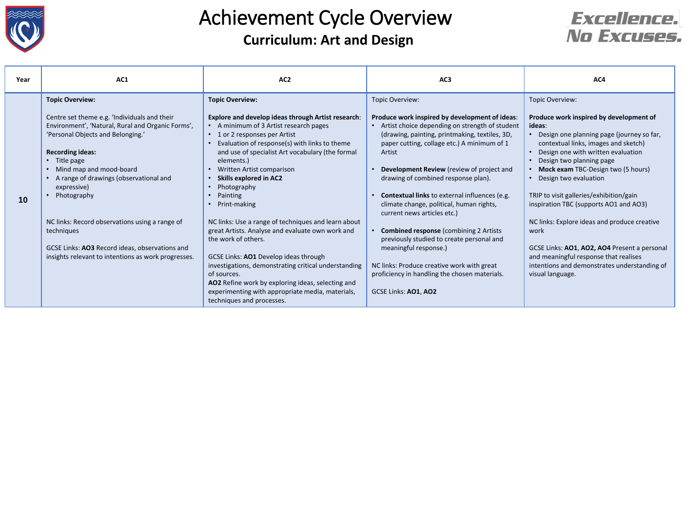

#### **Curriculum: Art and Design** Achievement Cycle Overview



| Year | AC1                                                                                                                                                                                                                                                                                                                         | AC <sub>2</sub>                                                                                                                                                                                                                                                                                                                                                                                                   | AC <sub>3</sub>                                                                                                                                                                                                                                                                                                                                                     | AC4                                                                                                                                                                                                                                                                                                                                   |
|------|-----------------------------------------------------------------------------------------------------------------------------------------------------------------------------------------------------------------------------------------------------------------------------------------------------------------------------|-------------------------------------------------------------------------------------------------------------------------------------------------------------------------------------------------------------------------------------------------------------------------------------------------------------------------------------------------------------------------------------------------------------------|---------------------------------------------------------------------------------------------------------------------------------------------------------------------------------------------------------------------------------------------------------------------------------------------------------------------------------------------------------------------|---------------------------------------------------------------------------------------------------------------------------------------------------------------------------------------------------------------------------------------------------------------------------------------------------------------------------------------|
| 10   | <b>Topic Overview:</b><br>Centre set theme e.g. 'Individuals and their<br>Environment', 'Natural, Rural and Organic Forms',<br>'Personal Objects and Belonging.'<br><b>Recording ideas:</b><br>• Title page<br>Mind map and mood-board<br>A range of drawings (observational and<br>expressive)<br>Photography<br>$\bullet$ | <b>Topic Overview:</b><br><b>Explore and develop ideas through Artist research:</b><br>• A minimum of 3 Artist research pages<br>• 1 or 2 responses per Artist<br>Evaluation of response(s) with links to theme<br>and use of specialist Art vocabulary (the formal<br>elements.)<br>Written Artist comparison<br>$\bullet$<br><b>Skills explored in AC2</b><br>Photography<br>Painting<br>$\bullet$              | Topic Overview:<br>Produce work inspired by development of ideas:<br>Artist choice depending on strength of student<br>(drawing, painting, printmaking, textiles, 3D,<br>paper cutting, collage etc.) A minimum of 1<br>Artist<br>Development Review (review of project and<br>drawing of combined response plan).<br>Contextual links to external influences (e.g. | Topic Overview:<br>Produce work inspired by development of<br>ideas:<br>Design one planning page (journey so far,<br>contextual links, images and sketch)<br>Design one with written evaluation<br>Design two planning page<br>Mock exam TBC-Design two (5 hours)<br>Design two evaluation<br>TRIP to visit galleries/exhibition/gain |
|      | NC links: Record observations using a range of<br>techniques<br>GCSE Links: AO3 Record ideas, observations and<br>insights relevant to intentions as work progresses.                                                                                                                                                       | Print-making<br>$\bullet$<br>NC links: Use a range of techniques and learn about<br>great Artists. Analyse and evaluate own work and<br>the work of others.<br>GCSE Links: AO1 Develop ideas through<br>investigations, demonstrating critical understanding<br>of sources.<br>AO2 Refine work by exploring ideas, selecting and<br>experimenting with appropriate media, materials,<br>techniques and processes. | climate change, political, human rights,<br>current news articles etc.)<br><b>Combined response (combining 2 Artists)</b><br>previously studied to create personal and<br>meaningful response.)<br>NC links: Produce creative work with great<br>proficiency in handling the chosen materials.<br>GCSE Links: AO1, AO2                                              | inspiration TBC (supports AO1 and AO3)<br>NC links: Explore ideas and produce creative<br>work<br>GCSE Links: AO1, AO2, AO4 Present a personal<br>and meaningful response that realises<br>intentions and demonstrates understanding of<br>visual language.                                                                           |